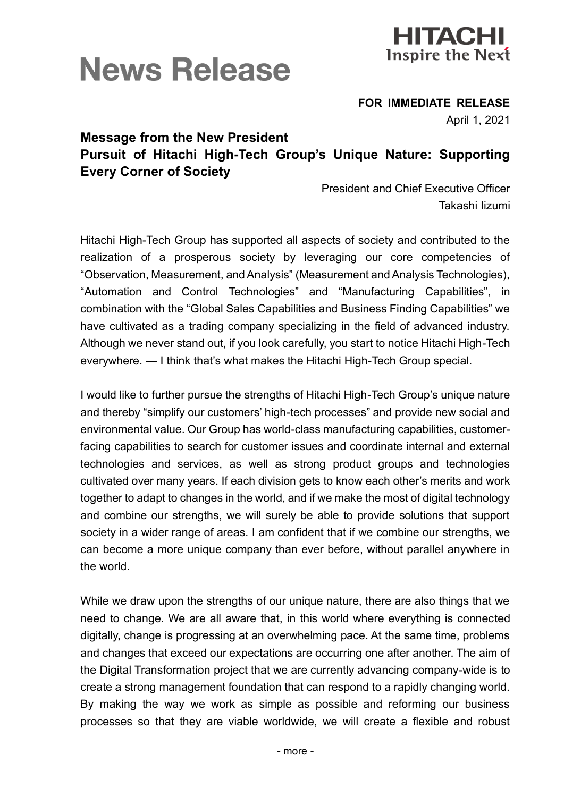

## **News Release**

**FOR IMMEDIATE RELEASE**

April 1, 2021

## **Message from the New President Pursuit of Hitachi High-Tech Group's Unique Nature: Supporting Every Corner of Society**

President and Chief Executive Officer Takashi Iizumi

Hitachi High-Tech Group has supported all aspects of society and contributed to the realization of a prosperous society by leveraging our core competencies of "Observation, Measurement, and Analysis" (Measurement and Analysis Technologies), "Automation and Control Technologies" and "Manufacturing Capabilities", in combination with the "Global Sales Capabilities and Business Finding Capabilities" we have cultivated as a trading company specializing in the field of advanced industry. Although we never stand out, if you look carefully, you start to notice Hitachi High-Tech everywhere. — I think that's what makes the Hitachi High-Tech Group special.

I would like to further pursue the strengths of Hitachi High-Tech Group's unique nature and thereby "simplify our customers' high-tech processes" and provide new social and environmental value. Our Group has world-class manufacturing capabilities, customerfacing capabilities to search for customer issues and coordinate internal and external technologies and services, as well as strong product groups and technologies cultivated over many years. If each division gets to know each other's merits and work together to adapt to changes in the world, and if we make the most of digital technology and combine our strengths, we will surely be able to provide solutions that support society in a wider range of areas. I am confident that if we combine our strengths, we can become a more unique company than ever before, without parallel anywhere in the world.

While we draw upon the strengths of our unique nature, there are also things that we need to change. We are all aware that, in this world where everything is connected digitally, change is progressing at an overwhelming pace. At the same time, problems and changes that exceed our expectations are occurring one after another. The aim of the Digital Transformation project that we are currently advancing company-wide is to create a strong management foundation that can respond to a rapidly changing world. By making the way we work as simple as possible and reforming our business processes so that they are viable worldwide, we will create a flexible and robust